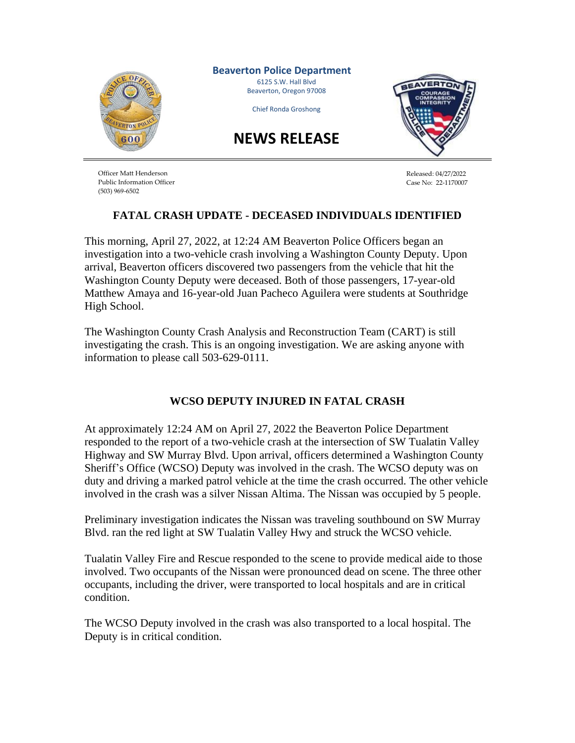

Officer Matt Henderson Public Information Officer (503) 969-6502

Released: 04/27/2022 Case No: 22-1170007

## **FATAL CRASH UPDATE - DECEASED INDIVIDUALS IDENTIFIED**

This morning, April 27, 2022, at 12:24 AM Beaverton Police Officers began an investigation into a two-vehicle crash involving a Washington County Deputy. Upon arrival, Beaverton officers discovered two passengers from the vehicle that hit the Washington County Deputy were deceased. Both of those passengers, 17-year-old Matthew Amaya and 16-year-old Juan Pacheco Aguilera were students at Southridge High School.

The Washington County Crash Analysis and Reconstruction Team (CART) is still investigating the crash. This is an ongoing investigation. We are asking anyone with information to please call 503-629-0111.

## **WCSO DEPUTY INJURED IN FATAL CRASH**

At approximately 12:24 AM on April 27, 2022 the Beaverton Police Department responded to the report of a two-vehicle crash at the intersection of SW Tualatin Valley Highway and SW Murray Blvd. Upon arrival, officers determined a Washington County Sheriff's Office (WCSO) Deputy was involved in the crash. The WCSO deputy was on duty and driving a marked patrol vehicle at the time the crash occurred. The other vehicle involved in the crash was a silver Nissan Altima. The Nissan was occupied by 5 people.

Preliminary investigation indicates the Nissan was traveling southbound on SW Murray Blvd. ran the red light at SW Tualatin Valley Hwy and struck the WCSO vehicle.

Tualatin Valley Fire and Rescue responded to the scene to provide medical aide to those involved. Two occupants of the Nissan were pronounced dead on scene. The three other occupants, including the driver, were transported to local hospitals and are in critical condition.

The WCSO Deputy involved in the crash was also transported to a local hospital. The Deputy is in critical condition.